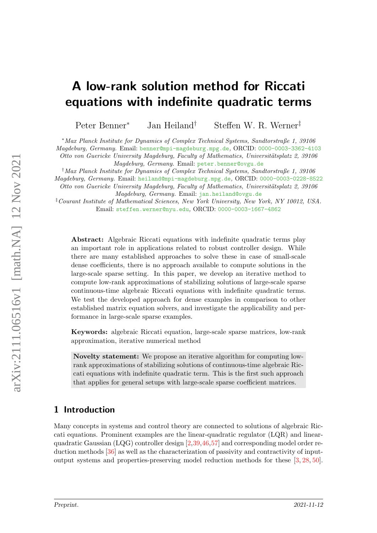# A low-rank solution method for Riccati equations with indefinite quadratic terms

Peter Benner<sup>∗</sup> Jan Heiland† Steffen W. R. Werner‡

<sup>∗</sup>Max Planck Institute for Dynamics of Complex Technical Systems, Sandtorstraße 1, 39106

Magdeburg, Germany. Email: [benner@mpi-magdeburg.mpg.de](mailto:benner@mpi-magdeburg.mpg.de), ORCID: [0000-0003-3362-4103](https://orcid.org/0000-0003-3362-4103)

Otto von Guericke University Magdeburg, Faculty of Mathematics, Universitätsplatz 2, 39106 Magdeburg, Germany. Email: [peter.benner@ovgu.de](mailto:peter.benner@ovgu.de)

†Max Planck Institute for Dynamics of Complex Technical Systems, Sandtorstraße 1, 39106

Magdeburg, Germany. Email: [heiland@mpi-magdeburg.mpg.de](mailto:heiland@mpi-magdeburg.mpg.de), ORCID: [0000-0003-0228-8522](https://orcid.org/0000-0003-0228-8522) Otto von Guericke University Magdeburg, Faculty of Mathematics, Universitätsplatz 2, 39106

Magdeburg, Germany. Email: [jan.heiland@ovgu.de](mailto:jan.heiland@ovgu.de)

‡Courant Institute of Mathematical Sciences, New York University, New York, NY 10012, USA. Email: [steffen.werner@nyu.edu](mailto:steffen.werner@nyu.edu), ORCID: [0000-0003-1667-4862](https://orcid.org/0000-0003-1667-4862)

Abstract: Algebraic Riccati equations with indefinite quadratic terms play an important role in applications related to robust controller design. While there are many established approaches to solve these in case of small-scale dense coefficients, there is no approach available to compute solutions in the large-scale sparse setting. In this paper, we develop an iterative method to compute low-rank approximations of stabilizing solutions of large-scale sparse continuous-time algebraic Riccati equations with indefinite quadratic terms. We test the developed approach for dense examples in comparison to other established matrix equation solvers, and investigate the applicability and performance in large-scale sparse examples.

Keywords: algebraic Riccati equation, large-scale sparse matrices, low-rank approximation, iterative numerical method

Novelty statement: We propose an iterative algorithm for computing lowrank approximations of stabilizing solutions of continuous-time algebraic Riccati equations with indefinite quadratic term. This is the first such approach that applies for general setups with large-scale sparse coefficient matrices.

# 1 Introduction

Many concepts in systems and control theory are connected to solutions of algebraic Riccati equations. Prominent examples are the linear-quadratic regulator (LQR) and linearquadratic Gaussian (LQG) controller design [\[2,](#page-14-0)[39,](#page-16-0)[46,](#page-17-0)[57\]](#page-18-0) and corresponding model order reduction methods [\[36\]](#page-16-1) as well as the characterization of passivity and contractivity of inputoutput systems and properties-preserving model reduction methods for these [\[3,](#page-14-1) [28,](#page-16-2) [50\]](#page-17-1).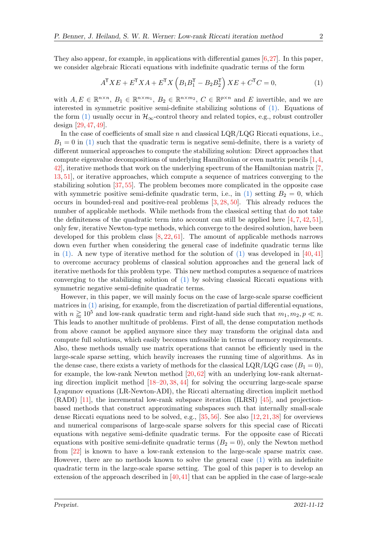They also appear, for example, in applications with differential games [\[6,](#page-14-2)[27\]](#page-16-3). In this paper, we consider algebraic Riccati equations with indefinite quadratic terms of the form

<span id="page-1-0"></span>
$$
A^{\mathsf{T}} X E + E^{\mathsf{T}} X A + E^{\mathsf{T}} X \left( B_1 B_1^{\mathsf{T}} - B_2 B_2^{\mathsf{T}} \right) X E + C^{\mathsf{T}} C = 0,\tag{1}
$$

with  $A, E \in \mathbb{R}^{n \times n}$ ,  $B_1 \in \mathbb{R}^{n \times m_1}$ ,  $B_2 \in \mathbb{R}^{n \times m_2}$ ,  $C \in \mathbb{R}^{p \times n}$  and E invertible, and we are interested in symmetric positive semi-definite stabilizing solutions of [\(1\).](#page-1-0) Equations of the form [\(1\)](#page-1-0) usually occur in  $\mathcal{H}_{\infty}$ -control theory and related topics, e.g., robust controller design [\[29,](#page-16-4) [47,](#page-17-2) [49\]](#page-17-3).

In the case of coefficients of small size n and classical  $\text{LQR/LQG}$  Riccati equations, i.e.,  $B_1 = 0$  in [\(1\)](#page-1-0) such that the quadratic term is negative semi-definite, there is a variety of different numerical approaches to compute the stabilizing solution: Direct approaches that compute eigenvalue decompositions of underlying Hamiltonian or even matrix pencils [\[1,](#page-14-3)[4,](#page-14-4) [42\]](#page-17-4), iterative methods that work on the underlying spectrum of the Hamiltonian matrix [\[7,](#page-14-5) [13,](#page-14-6) [51\]](#page-17-5), or iterative approaches, which compute a sequence of matrices converging to the stabilizing solution [\[37,](#page-16-5) [55\]](#page-18-1). The problem becomes more complicated in the opposite case with symmetric positive semi-definite quadratic term, i.e., in [\(1\)](#page-1-0) setting  $B_2 = 0$ , which occurs in bounded-real and positive-real problems [\[3,](#page-14-1) [28,](#page-16-2) [50\]](#page-17-1). This already reduces the number of applicable methods. While methods from the classical setting that do not take the definiteness of the quadratic term into account can still be applied here  $[4, 7, 42, 51]$  $[4, 7, 42, 51]$  $[4, 7, 42, 51]$  $[4, 7, 42, 51]$  $[4, 7, 42, 51]$  $[4, 7, 42, 51]$  $[4, 7, 42, 51]$ , only few, iterative Newton-type methods, which converge to the desired solution, have been developed for this problem class  $[8, 22, 61]$  $[8, 22, 61]$  $[8, 22, 61]$  $[8, 22, 61]$  $[8, 22, 61]$ . The amount of applicable methods narrows down even further when considering the general case of indefinite quadratic terms like in [\(1\).](#page-1-0) A new type of iterative method for the solution of [\(1\)](#page-1-0) was developed in  $[40, 41]$  $[40, 41]$  $[40, 41]$ to overcome accuracy problems of classical solution approaches and the general lack of iterative methods for this problem type. This new method computes a sequence of matrices converging to the stabilizing solution of [\(1\)](#page-1-0) by solving classical Riccati equations with symmetric negative semi-definite quadratic terms.

However, in this paper, we will mainly focus on the case of large-scale sparse coefficient matrices in [\(1\)](#page-1-0) arising, for example, from the discretization of partial differential equations, with  $n \gtrsim 10^5$  and low-rank quadratic term and right-hand side such that  $m_1, m_2, p \ll n$ . This leads to another multitude of problems. First of all, the dense computation methods from above cannot be applied anymore since they may transform the original data and compute full solutions, which easily becomes unfeasible in terms of memory requirements. Also, these methods usually use matrix operations that cannot be efficiently used in the large-scale sparse setting, which heavily increases the running time of algorithms. As in the dense case, there exists a variety of methods for the classical LQR/LQG case  $(B_1 = 0)$ , for example, the low-rank Newton method [\[20,](#page-15-1) [62\]](#page-18-3) with an underlying low-rank alternating direction implicit method [\[18](#page-15-2)[–20,](#page-15-1) [38,](#page-16-6) [44\]](#page-17-8) for solving the occurring large-scale sparse Lyapunov equations (LR-Newton-ADI), the Riccati alternating direction implicit method (RADI) [\[11\]](#page-14-8), the incremental low-rank subspace iteration (ILRSI) [\[45\]](#page-17-9), and projectionbased methods that construct approximating subspaces such that internally small-scale dense Riccati equations need to be solved, e.g.,  $[35, 56]$  $[35, 56]$  $[35, 56]$ . See also  $[12, 21, 38]$  $[12, 21, 38]$  $[12, 21, 38]$  $[12, 21, 38]$  $[12, 21, 38]$  for overviews and numerical comparisons of large-scale sparse solvers for this special case of Riccati equations with negative semi-definite quadratic terms. For the opposite case of Riccati equations with positive semi-definite quadratic terms  $(B_2 = 0)$ , only the Newton method from [\[22\]](#page-15-0) is known to have a low-rank extension to the large-scale sparse matrix case. However, there are no methods known to solve the general case [\(1\)](#page-1-0) with an indefinite quadratic term in the large-scale sparse setting. The goal of this paper is to develop an extension of the approach described in  $[40,41]$  $[40,41]$  that can be applied in the case of large-scale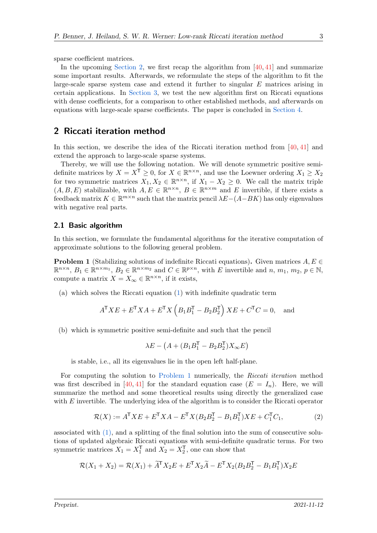sparse coefficient matrices.

In the upcoming [Section 2,](#page-2-0) we first recap the algorithm from  $[40, 41]$  $[40, 41]$  $[40, 41]$  and summarize some important results. Afterwards, we reformulate the steps of the algorithm to fit the large-scale sparse system case and extend it further to singular E matrices arising in certain applications. In [Section 3,](#page-9-0) we test the new algorithm first on Riccati equations with dense coefficients, for a comparison to other established methods, and afterwards on equations with large-scale sparse coefficients. The paper is concluded in [Section 4.](#page-13-0)

# <span id="page-2-0"></span>2 Riccati iteration method

In this section, we describe the idea of the Riccati iteration method from [\[40,](#page-17-6) [41\]](#page-17-7) and extend the approach to large-scale sparse systems.

Thereby, we will use the following notation. We will denote symmetric positive semidefinite matrices by  $X = X^{\mathsf{T}} \geq 0$ , for  $X \in \mathbb{R}^{n \times n}$ , and use the Loewner ordering  $X_1 \geq X_2$ for two symmetric matrices  $X_1, X_2 \in \mathbb{R}^{n \times n}$ , if  $X_1 - X_2 \geq 0$ . We call the matrix triple  $(A, B, E)$  stabilizable, with  $A, E \in \mathbb{R}^{n \times n}$ ,  $B \in \mathbb{R}^{n \times m}$  and E invertible, if there exists a feedback matrix  $K \in \mathbb{R}^{m \times n}$  such that the matrix pencil  $\lambda E-(A-BK)$  has only eigenvalues with negative real parts.

### 2.1 Basic algorithm

In this section, we formulate the fundamental algorithms for the iterative computation of approximate solutions to the following general problem.

<span id="page-2-1"></span>**Problem 1** (Stabilizing solutions of indefinite Riccati equations). Given matrices  $A, E \in$  $\mathbb{R}^{n \times n}$ ,  $B_1 \in \mathbb{R}^{n \times m_1}$ ,  $B_2 \in \mathbb{R}^{n \times m_2}$  and  $C \in \mathbb{R}^{p \times n}$ , with E invertible and  $n, m_1, m_2, p \in \mathbb{N}$ , compute a matrix  $X = X_{\infty} \in \mathbb{R}^{n \times n}$ , if it exists,

(a) which solves the Riccati equation [\(1\)](#page-1-0) with indefinite quadratic term

$$
A^{\mathsf{T}} X E + E^{\mathsf{T}} X A + E^{\mathsf{T}} X \left( B_1 B_1^{\mathsf{T}} - B_2 B_2^{\mathsf{T}} \right) X E + C^{\mathsf{T}} C = 0, \text{ and}
$$

(b) which is symmetric positive semi-definite and such that the pencil

<span id="page-2-2"></span>
$$
\lambda E - \left(A + (B_1 B_1^\mathsf{T} - B_2 B_2^\mathsf{T}) X_\infty E\right)
$$

is stable, i.e., all its eigenvalues lie in the open left half-plane.

For computing the solution to [Problem 1](#page-2-1) numerically, the Riccati iteration method was first described in [\[40,](#page-17-6) [41\]](#page-17-7) for the standard equation case  $(E = I_n)$ . Here, we will summarize the method and some theoretical results using directly the generalized case with  $E$  invertible. The underlying idea of the algorithm is to consider the Riccati operator

$$
\mathcal{R}(X) := A^{\mathsf{T}} X E + E^{\mathsf{T}} X A - E^{\mathsf{T}} X (B_2 B_2^{\mathsf{T}} - B_1 B_1^{\mathsf{T}}) X E + C_1^{\mathsf{T}} C_1,\tag{2}
$$

associated with  $(1)$ , and a splitting of the final solution into the sum of consecutive solutions of updated algebraic Riccati equations with semi-definite quadratic terms. For two symmetric matrices  $X_1 = X_1^{\mathsf{T}}$  and  $X_2 = X_2^{\mathsf{T}}$ , one can show that

$$
\mathcal{R}(X_1 + X_2) = \mathcal{R}(X_1) + \widetilde{A}^{\mathsf{T}} X_2 E + E^{\mathsf{T}} X_2 \widetilde{A} - E^{\mathsf{T}} X_2 (B_2 B_2^{\mathsf{T}} - B_1 B_1^{\mathsf{T}}) X_2 E
$$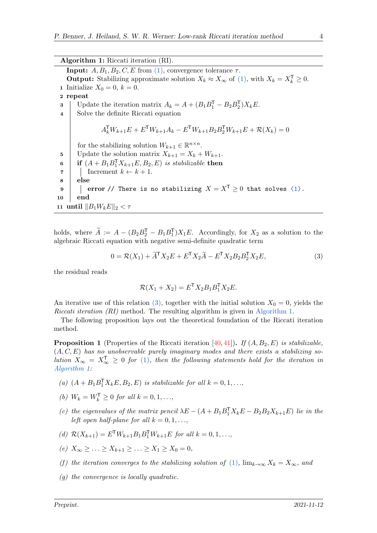<span id="page-3-1"></span>Algorithm 1: Riccati iteration (RI). **Input:**  $A, B_1, B_2, C, E$  from [\(1\),](#page-1-0) convergence tolerance  $\tau$ . **Output:** Stabilizing approximate solution  $X_k \approx X_\infty$  of [\(1\),](#page-1-0) with  $X_k = X_k^\mathsf{T} \geq 0$ . 1 Initialize  $X_0 = 0, k = 0$ . 2 repeat 3 Update the iteration matrix  $A_k = A + (B_1B_1^T - B_2B_2^T)X_kE$ . 4 Solve the definite Riccati equation  $A_k^{\mathsf{T}} W_{k+1} E + E^{\mathsf{T}} W_{k+1} A_k - E^{\mathsf{T}} W_{k+1} B_2 B_2^{\mathsf{T}} W_{k+1} E + \mathcal{R}(X_k) = 0$ for the stabilizing solution  $W_{k+1} \in \mathbb{R}^{n \times n}$ . 5 Update the solution matrix  $X_{k+1} = X_k + W_{k+1}$ . 6 if  $(A + B_1B_1^{\mathsf{T}}X_{k+1}E, B_2, E)$  is stabilizable then  $\tau$  | Increment  $k \leftarrow k+1$ . 8 else 9 error // There is no stabilizing  $X = X^T \ge 0$  that solves [\(1\).](#page-1-0) 10 end 11 until  $||B_1W_kE||_2 < \tau$ 

holds, where  $\widetilde{A} := A - (B_2 B_1^{\mathsf{T}} - B_1 B_1^{\mathsf{T}}) X_1 E$ . Accordingly, for  $X_2$  as a solution to the algebraic Riccati equation with negative semi-definite quadratic term

$$
0 = \mathcal{R}(X_1) + \widetilde{A}^{\mathsf{T}} X_2 E + E^{\mathsf{T}} X_2 \widetilde{A} - E^{\mathsf{T}} X_2 B_2 B_2^{\mathsf{T}} X_2 E,\tag{3}
$$

the residual reads

<span id="page-3-0"></span>
$$
\mathcal{R}(X_1 + X_2) = E^{\mathsf{T}} X_2 B_1 B_1^{\mathsf{T}} X_2 E.
$$

An iterative use of this relation [\(3\),](#page-3-0) together with the initial solution  $X_0 = 0$ , yields the Riccati iteration (RI) method. The resulting algorithm is given in [Algorithm 1.](#page-3-1)

The following proposition lays out the theoretical foundation of the Riccati iteration method.

<span id="page-3-2"></span>**Proposition 1** (Properties of the Riccati iteration [\[40,](#page-17-6) [41\]](#page-17-7)). If  $(A, B_2, E)$  is stabilizable,  $(A, C, E)$  has no unobservable purely imaginary modes and there exists a stabilizing solution  $X_{\infty} = X_{\infty}^{\mathsf{T}} \geq 0$  for [\(1\)](#page-1-0), then the following statements hold for the iteration in [Algorithm 1:](#page-3-1)

- (a)  $(A + B_1B_1^{\mathsf{T}}X_kE, B_2, E)$  is stabilizable for all  $k = 0, 1, \ldots,$
- (b)  $W_k = W_k^{\mathsf{T}} \geq 0 \text{ for all } k = 0, 1, ...,$
- (c) the eigenvalues of the matrix pencil  $\lambda E (A + B_1 B_1^T X_k E B_2 B_2 X_{k+1} E)$  lie in the left open half-plane for all  $k = 0, 1, \ldots$
- (d)  $\mathcal{R}(X_{k+1}) = E^{\mathsf{T}} W_{k+1} B_1 B_1^{\mathsf{T}} W_{k+1} E$  for all  $k = 0, 1, ...,$
- (e)  $X_{\infty} \geq ... \geq X_{k+1} \geq ... \geq X_1 \geq X_0 = 0$ ,
- (f) the iteration converges to the stabilizing solution of [\(1\)](#page-1-0),  $\lim_{k\to\infty} X_k = X_\infty$ , and
- (g) the convergence is locally quadratic.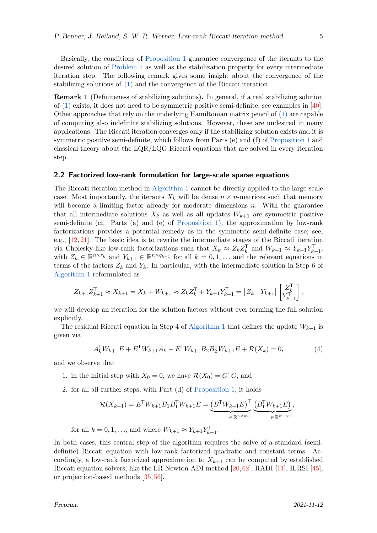Basically, the conditions of [Proposition 1](#page-3-2) guarantee convergence of the iterants to the desired solution of [Problem 1](#page-2-1) as well as the stabilization property for every intermediate iteration step. The following remark gives some insight about the convergence of the stabilizing solutions of [\(1\)](#page-1-0) and the convergence of the Riccati iteration.

Remark 1 (Definiteness of stabilizing solutions). In general, if a real stabilizing solution of  $(1)$  exists, it does not need to be symmetric positive semi-definite; see examples in [\[40\]](#page-17-6). Other approaches that rely on the underlying Hamiltonian matrix pencil of [\(1\)](#page-1-0) are capable of computing also indefinite stabilizing solutions. However, these are undesired in many applications. The Riccati iteration converges only if the stabilizing solution exists and it is symmetric positive semi-definite, which follows from Parts (e) and (f) of [Proposition 1](#page-3-2) and classical theory about the LQR/LQG Riccati equations that are solved in every iteration step.

#### 2.2 Factorized low-rank formulation for large-scale sparse equations

The Riccati iteration method in [Algorithm 1](#page-3-1) cannot be directly applied to the large-scale case. Most importantly, the iterants  $X_k$  will be dense  $n \times n$ -matrices such that memory will become a limiting factor already for moderate dimensions  $n$ . With the guarantee that all intermediate solutions  $X_k$  as well as all updates  $W_{k+1}$  are symmetric positive semi-definite (cf. Parts (a) and (e) of [Proposition 1\)](#page-3-2), the approximation by low-rank factorizations provides a potential remedy as in the symmetric semi-definite case; see, e.g.,  $[12, 21]$  $[12, 21]$  $[12, 21]$ . The basic idea is to rewrite the intermediate stages of the Riccati iteration via Cholesky-like low-rank factorizations such that  $X_k \approx Z_k Z_k^T$  and  $W_{k+1} \approx Y_{k+1} Y_{k+1}^T$ , with  $Z_k \in \mathbb{R}^{n \times r_k}$  and  $Y_{k+1} \in \mathbb{R}^{n \times q_{k+1}}$  for all  $k = 0, 1, \ldots$  and the relevant equations in terms of the factors  $Z_k$  and  $Y_k$ . In particular, with the intermediate solution in Step 6 of [Algorithm 1](#page-3-1) reformulated as

$$
Z_{k+1}Z_{k+1}^{\mathsf{T}} \approx X_{k+1} = X_k + W_{k+1} \approx Z_k Z_k^{\mathsf{T}} + Y_{k+1} Y_{k+1}^{\mathsf{T}} = \begin{bmatrix} Z_k & Y_{k+1} \end{bmatrix} \begin{bmatrix} Z_k^{\mathsf{T}} \\ Y_{k+1}^{\mathsf{T}} \end{bmatrix},
$$

we will develop an iteration for the solution factors without ever forming the full solution explicitly.

The residual Riccati equation in Step 4 of [Algorithm 1](#page-3-1) that defines the update  $W_{k+1}$  is given via

$$
A_k^{\mathsf{T}} W_{k+1} E + E^{\mathsf{T}} W_{k+1} A_k - E^{\mathsf{T}} W_{k+1} B_2 B_2^{\mathsf{T}} W_{k+1} E + \mathcal{R}(X_k) = 0,\tag{4}
$$

and we observe that

- 1. in the initial step with  $X_0 = 0$ , we have  $\mathcal{R}(X_0) = C^{\mathsf{T}} C$ , and
- 2. for all all further steps, with Part (d) of [Proposition 1,](#page-3-2) it holds

$$
\mathcal{R}(X_{k+1}) = E^{T} W_{k+1} B_1 B_1^{T} W_{k+1} E = \underbrace{\left(B_1^{T} W_{k+1} E\right)^{T}}_{\in \mathbb{R}^{n \times m_1}} \underbrace{\left(B_1^{T} W_{k+1} E\right)}_{\in \mathbb{R}^{m_1 \times n}},
$$

for all  $k = 0, 1, ...,$  and where  $W_{k+1} \approx Y_{k+1} Y_{k+1}^{\mathsf{T}}$ .

In both cases, this central step of the algorithm requires the solve of a standard (semidefinite) Riccati equation with low-rank factorized quadratic and constant terms. Accordingly, a low-rank factorized approximation to  $X_{k+1}$  can be computed by established Riccati equation solvers, like the LR-Newton-ADI method [\[20,](#page-15-1)[62\]](#page-18-3), RADI [\[11\]](#page-14-8), ILRSI [\[45\]](#page-17-9), or projection-based methods [\[35,](#page-16-7) [56\]](#page-18-4).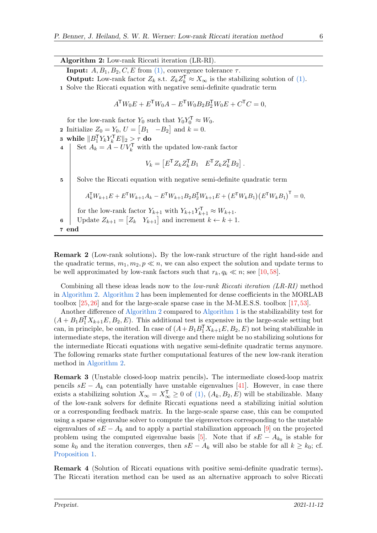#### Algorithm 2: Low-rank Riccati iteration (LR-RI).

<span id="page-5-0"></span>**Input:**  $A, B_1, B_2, C, E$  from [\(1\),](#page-1-0) convergence tolerance  $\tau$ .

**Output:** Low-rank factor  $Z_k$  s.t.  $Z_k Z_k^T \approx X_\infty$  is the stabilizing solution of [\(1\).](#page-1-0)

1 Solve the Riccati equation with negative semi-definite quadratic term

$$
A^{\mathsf{T}} W_0 E + E^{\mathsf{T}} W_0 A - E^{\mathsf{T}} W_0 B_2 B_2^{\mathsf{T}} W_0 E + C^{\mathsf{T}} C = 0,
$$

for the low-rank factor  $Y_0$  such that  $Y_0 Y_0^{\mathsf{T}} \approx W_0$ .

- **2** Initialize  $Z_0 = Y_0, U = [B_1 \ -B_2]$  and  $k = 0$ .
- $\texttt{3} \ \ \text{while} \ \Vert B_1^\mathsf{T} Y_k Y_k^\mathsf{T} E \Vert_2 \geq \tau \ \texttt{do}$
- 4 Set  $A_k = A UV_k^{\mathsf{T}}$  with the updated low-rank factor

$$
V_k = \begin{bmatrix} E^{\mathsf{T}} Z_k Z_k^{\mathsf{T}} B_1 & E^{\mathsf{T}} Z_k Z_k^{\mathsf{T}} B_2 \end{bmatrix}.
$$

5 Solve the Riccati equation with negative semi-definite quadratic term

$$
A_k^{\mathsf{T}} W_{k+1} E + E^{\mathsf{T}} W_{k+1} A_k - E^{\mathsf{T}} W_{k+1} B_2 B_2^{\mathsf{T}} W_{k+1} E + (E^{\mathsf{T}} W_k B_1) (E^{\mathsf{T}} W_k B_1)^{\mathsf{T}} = 0,
$$

for the low-rank factor  $Y_{k+1}$  with  $Y_{k+1}Y_{k+1}^{\mathsf{T}} \approx W_{k+1}$ .

6 Update  $Z_{k+1} = [Z_k \ Y_{k+1}]$  and increment  $k \leftarrow k+1$ .

```
7 end
```
Remark 2 (Low-rank solutions). By the low-rank structure of the right hand-side and the quadratic terms,  $m_1, m_2, p \ll n$ , we can also expect the solution and update terms to be well approximated by low-rank factors such that  $r_k, q_k \ll n$ ; see [\[10,](#page-14-10)[58\]](#page-18-5).

Combining all these ideas leads now to the low-rank Riccati iteration (LR-RI) method in [Algorithm 2.](#page-5-0) [Algorithm 2](#page-5-0) has been implemented for dense coefficients in the MORLAB toolbox [\[25,](#page-15-4) [26\]](#page-16-8) and for the large-scale sparse case in the M-M.E.S.S. toolbox [\[17,](#page-15-5) [53\]](#page-17-10).

Another difference of [Algorithm 2](#page-5-0) compared to [Algorithm 1](#page-3-1) is the stabilizability test for  $(A + B_1 B_1^{\mathsf{T}} X_{k+1} E, B_2, E)$ . This additional test is expensive in the large-scale setting but can, in principle, be omitted. In case of  $(A+B_1B_1^{\mathsf{T}}X_{k+1}E, B_2, E)$  not being stabilizable in intermediate steps, the iteration will diverge and there might be no stabilizing solutions for the intermediate Riccati equations with negative semi-definite quadratic terms anymore. The following remarks state further computational features of the new low-rank iteration method in [Algorithm 2.](#page-5-0)

Remark 3 (Unstable closed-loop matrix pencils). The intermediate closed-loop matrix pencils  $sE - A_k$  can potentially have unstable eigenvalues [\[41\]](#page-17-7). However, in case there exists a stabilizing solution  $X_{\infty} = X_{\infty}^{\mathsf{T}} \geq 0$  of [\(1\),](#page-1-0)  $(A_k, B_2, E)$  will be stabilizable. Many of the low-rank solvers for definite Riccati equations need a stabilizing initial solution or a corresponding feedback matrix. In the large-scale sparse case, this can be computed using a sparse eigenvalue solver to compute the eigenvectors corresponding to the unstable eigenvalues of  $sE - A_k$  and to apply a partial stabilization approach [\[9\]](#page-14-11) on the projected problem using the computed eigenvalue basis [\[5\]](#page-14-12). Note that if  $sE - A_{k_0}$  is stable for some  $k_0$  and the iteration converges, then  $sE - A_k$  will also be stable for all  $k \geq k_0$ ; cf. [Proposition 1.](#page-3-2)

Remark 4 (Solution of Riccati equations with positive semi-definite quadratic terms). The Riccati iteration method can be used as an alternative approach to solve Riccati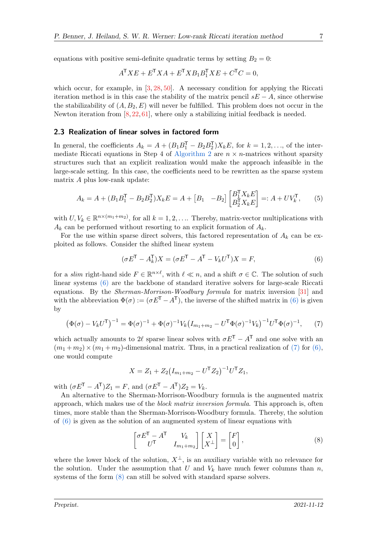equations with positive semi-definite quadratic terms by setting  $B_2 = 0$ :

$$
A^{\mathsf{T}} X E + E^{\mathsf{T}} X A + E^{\mathsf{T}} X B_1 B_1^{\mathsf{T}} X E + C^{\mathsf{T}} C = 0,
$$

which occur, for example, in  $[3, 28, 50]$  $[3, 28, 50]$  $[3, 28, 50]$  $[3, 28, 50]$  $[3, 28, 50]$ . A necessary condition for applying the Riccati iteration method is in this case the stability of the matrix pencil  $sE - A$ , since otherwise the stabilizability of  $(A, B_2, E)$  will never be fulfilled. This problem does not occur in the Newton iteration from  $[8, 22, 61]$  $[8, 22, 61]$  $[8, 22, 61]$  $[8, 22, 61]$  $[8, 22, 61]$ , where only a stabilizing initial feedback is needed.

## <span id="page-6-3"></span>2.3 Realization of linear solves in factored form

In general, the coefficients  $A_k = A + (B_1 B_1^{\mathsf{T}} - B_2 B_2^{\mathsf{T}}) X_k E$ , for  $k = 1, 2, ...,$  of the inter-mediate Riccati equations in Step 4 of [Algorithm 2](#page-5-0) are  $n \times n$ -matrices without sparsity structures such that an explicit realization would make the approach infeasible in the large-scale setting. In this case, the coefficients need to be rewritten as the sparse system matrix A plus low-rank update:

$$
A_k = A + (B_1 B_1^{\mathsf{T}} - B_2 B_2^{\mathsf{T}}) X_k E = A + [B_1 \quad -B_2] \begin{bmatrix} B_1^{\mathsf{T}} X_k E \\ B_2^{\mathsf{T}} X_k E \end{bmatrix} =: A + UV_k^{\mathsf{T}},\tag{5}
$$

with  $U, V_k \in \mathbb{R}^{n \times (m_1 + m_2)}$ , for all  $k = 1, 2, \dots$  Thereby, matrix-vector multiplications with  $A_k$  can be performed without resorting to an explicit formation of  $A_k$ .

For the use within sparse direct solvers, this factored representation of  $A_k$  can be exploited as follows. Consider the shifted linear system

<span id="page-6-4"></span><span id="page-6-0"></span>
$$
(\sigma E^{\mathsf{T}} - A_k^{\mathsf{T}})X = (\sigma E^{\mathsf{T}} - A^{\mathsf{T}} - V_k U^{\mathsf{T}})X = F,\tag{6}
$$

for a slim right-hand side  $F \in \mathbb{R}^{n \times \ell}$ , with  $\ell \ll n$ , and a shift  $\sigma \in \mathbb{C}$ . The solution of such linear systems [\(6\)](#page-6-0) are the backbone of standard iterative solvers for large-scale Riccati equations. By the Sherman-Morrison-Woodbury formula for matrix inversion [\[31\]](#page-16-9) and with the abbreviation  $\Phi(\sigma) := (\sigma E^{T} - A^{T})$ , the inverse of the shifted matrix in [\(6\)](#page-6-0) is given by

$$
\left(\Phi(\sigma) - V_k U^{\mathsf{T}}\right)^{-1} = \Phi(\sigma)^{-1} + \Phi(\sigma)^{-1} V_k \left(I_{m_1 + m_2} - U^{\mathsf{T}} \Phi(\sigma)^{-1} V_k\right)^{-1} U^{\mathsf{T}} \Phi(\sigma)^{-1},\tag{7}
$$

which actually amounts to 2 $\ell$  sparse linear solves with  $\sigma E^{\mathsf{T}} - A^{\mathsf{T}}$  and one solve with an  $(m_1 + m_2) \times (m_1 + m_2)$ -dimensional matrix. Thus, in a practical realization of [\(7\)](#page-6-1) for [\(6\),](#page-6-0) one would compute

<span id="page-6-1"></span>
$$
X = Z_1 + Z_2 (I_{m_1 + m_2} - U^{\mathsf{T}} Z_2)^{-1} U^{\mathsf{T}} Z_1,
$$

with  $(\sigma E^{\mathsf{T}} - A^{\mathsf{T}})Z_1 = F$ , and  $(\sigma E^{\mathsf{T}} - A^{\mathsf{T}})Z_2 = V_k$ .

An alternative to the Sherman-Morrison-Woodbury formula is the augmented matrix approach, which makes use of the *block matrix inversion formula*. This approach is, often times, more stable than the Sherman-Morrison-Woodbury formula. Thereby, the solution of [\(6\)](#page-6-0) is given as the solution of an augmented system of linear equations with

<span id="page-6-2"></span>
$$
\begin{bmatrix} \sigma E^{\mathsf{T}} - A^{\mathsf{T}} & V_k \\ U^{\mathsf{T}} & I_{m_1 + m_2} \end{bmatrix} \begin{bmatrix} X \\ X^{\perp} \end{bmatrix} = \begin{bmatrix} F \\ 0 \end{bmatrix}, \tag{8}
$$

where the lower block of the solution,  $X^{\perp}$ , is an auxiliary variable with no relevance for the solution. Under the assumption that U and  $V_k$  have much fewer columns than n, systems of the form  $(8)$  can still be solved with standard sparse solvers.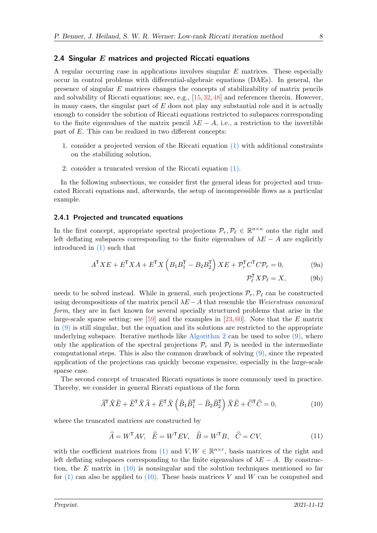## 2.4 Singular  $E$  matrices and projected Riccati equations

A regular occurring case in applications involves singular E matrices. These especially occur in control problems with differential-algebraic equations (DAEs). In general, the presence of singular E matrices changes the concepts of stabilizability of matrix pencils and solvability of Riccati equations; see, e.g., [\[15,](#page-15-6) [32,](#page-16-10) [48\]](#page-17-11) and references therein. However, in many cases, the singular part of  $E$  does not play any substantial role and it is actually enough to consider the solution of Riccati equations restricted to subspaces corresponding to the finite eigenvalues of the matrix pencil  $\lambda E - A$ , i.e., a restriction to the invertible part of E. This can be realized in two different concepts:

- 1. consider a projected version of the Riccati equation [\(1\)](#page-1-0) with additional constraints on the stabilizing solution,
- 2. consider a truncated version of the Riccati equation [\(1\).](#page-1-0)

In the following subsections, we consider first the general ideas for projected and truncated Riccati equations and, afterwards, the setup of incompressible flows as a particular example.

#### <span id="page-7-3"></span>2.4.1 Projected and truncated equations

In the first concept, appropriate spectral projections  $\mathcal{P}_r, \mathcal{P}_\ell \in \mathbb{R}^{n \times n}$  onto the right and left deflating subspaces corresponding to the finite eigenvalues of  $\lambda E - A$  are explicitly introduced in [\(1\)](#page-1-0) such that

<span id="page-7-0"></span>
$$
A^{\mathsf{T}} X E + E^{\mathsf{T}} X A + E^{\mathsf{T}} X \left( B_1 B_1^{\mathsf{T}} - B_2 B_2^{\mathsf{T}} \right) X E + \mathcal{P}_r^{\mathsf{T}} C^{\mathsf{T}} C \mathcal{P}_r = 0, \tag{9a}
$$

<span id="page-7-2"></span><span id="page-7-1"></span>
$$
\mathcal{P}_{\ell}^{\mathsf{T}} X \mathcal{P}_{\ell} = X, \tag{9b}
$$

needs to be solved instead. While in general, such projections  $\mathcal{P}_r, \mathcal{P}_\ell$  can be constructed using decompositions of the matrix pencil  $\lambda E - A$  that resemble the Weierstrass canonical form, they are in fact known for several specially structured problems that arise in the large-scale sparse setting; see [\[59\]](#page-18-6) and the examples in [\[23,](#page-15-7) [60\]](#page-18-7). Note that the E matrix in  $(9)$  is still singular, but the equation and its solutions are restricted to the appropriate underlying subspace. Iterative methods like [Algorithm 2](#page-5-0) can be used to solve  $(9)$ , where only the application of the spectral projections  $\mathcal{P}_r$  and  $\mathcal{P}_\ell$  is needed in the intermediate computational steps. This is also the common drawback of solving [\(9\),](#page-7-0) since the repeated application of the projections can quickly become expensive, especially in the large-scale sparse case.

The second concept of truncated Riccati equations is more commonly used in practice. Thereby, we consider in general Riccati equations of the form

$$
\widehat{A}^{\mathsf{T}}\widehat{X}\widehat{E} + \widehat{E}^{\mathsf{T}}\widehat{X}\widehat{A} + \widehat{E}^{\mathsf{T}}\widehat{X}\left(\widehat{B}_1\widehat{B}_1^{\mathsf{T}} - \widehat{B}_2\widehat{B}_2^{\mathsf{T}}\right)\widehat{X}\widehat{E} + \widehat{C}^{\mathsf{T}}\widehat{C} = 0,
$$
\n(10)

where the truncated matrices are constructed by

$$
\widehat{A} = W^{\mathsf{T}} A V, \quad \widehat{E} = W^{\mathsf{T}} E V, \quad \widehat{B} = W^{\mathsf{T}} B, \quad \widehat{C} = C V,\tag{11}
$$

with the coefficient matrices from [\(1\)](#page-1-0) and  $V, W \in \mathbb{R}^{n \times r}$ , basis matrices of the right and left deflating subspaces corresponding to the finite eigenvalues of  $\lambda E - A$ . By construction, the E matrix in  $(10)$  is nonsingular and the solution techniques mentioned so far for  $(1)$  can also be applied to  $(10)$ . These basis matrices V and W can be computed and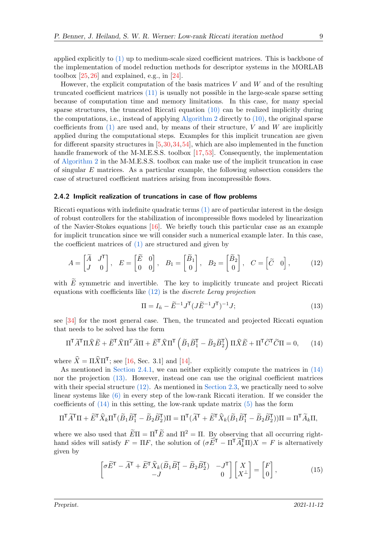applied explicitly to [\(1\)](#page-1-0) up to medium-scale sized coefficient matrices. This is backbone of the implementation of model reduction methods for descriptor systems in the MORLAB toolbox  $[25, 26]$  $[25, 26]$  $[25, 26]$  and explained, e.g., in  $[24]$ .

However, the explicit computation of the basis matrices  $V$  and  $W$  and of the resulting truncated coefficient matrices [\(11\)](#page-7-2) is usually not possible in the large-scale sparse setting because of computation time and memory limitations. In this case, for many special sparse structures, the truncated Riccati equation  $(10)$  can be realized implicitly during the computations, i.e., instead of applying [Algorithm 2](#page-5-0) directly to [\(10\),](#page-7-1) the original sparse coefficients from  $(1)$  are used and, by means of their structure, V and W are implicitly applied during the computational steps. Examples for this implicit truncation are given for different sparsity structures in [\[5,](#page-14-12)[30,](#page-16-11)[34,](#page-16-12)[54\]](#page-18-8), which are also implemented in the function handle framework of the M-M.E.S.S. toolbox [\[17,](#page-15-5) [53\]](#page-17-10). Consequently, the implementation of [Algorithm 2](#page-5-0) in the M-M.E.S.S. toolbox can make use of the implicit truncation in case of singular  $E$  matrices. As a particular example, the following subsection considers the case of structured coefficient matrices arising from incompressible flows.

#### <span id="page-8-4"></span>2.4.2 Implicit realization of truncations in case of flow problems

Riccati equations with indefinite quadratic terms  $(1)$  are of particular interest in the design of robust controllers for the stabilization of incompressible flows modeled by linearization of the Navier-Stokes equations [\[16\]](#page-15-9). We briefly touch this particular case as an example for implicit truncation since we will consider such a numerical example later. In this case, the coefficient matrices of [\(1\)](#page-1-0) are structured and given by

$$
A = \begin{bmatrix} \widetilde{A} & J^{\mathsf{T}} \\ J & 0 \end{bmatrix}, \quad E = \begin{bmatrix} \widetilde{E} & 0 \\ 0 & 0 \end{bmatrix}, \quad B_1 = \begin{bmatrix} \widetilde{B}_1 \\ 0 \end{bmatrix}, \quad B_2 = \begin{bmatrix} \widetilde{B}_2 \\ 0 \end{bmatrix}, \quad C = \begin{bmatrix} \widetilde{C} & 0 \end{bmatrix}, \tag{12}
$$

with  $\widetilde{E}$  symmetric and invertible. The key to implicitly truncate and project Riccati equations with coefficients like  $(12)$  is the *discrete Leray projection* 

<span id="page-8-2"></span><span id="page-8-1"></span><span id="page-8-0"></span>
$$
\Pi = I_{\tilde{n}} - \tilde{E}^{-1} J^{\mathsf{T}} (J \tilde{E}^{-1} J^{\mathsf{T}})^{-1} J; \tag{13}
$$

see [\[34\]](#page-16-12) for the most general case. Then, the truncated and projected Riccati equation that needs to be solved has the form

$$
\Pi^{\mathsf{T}} \widetilde{A}^{\mathsf{T}} \Pi \widehat{X} \widetilde{E} + \widetilde{E}^{\mathsf{T}} \widehat{X} \Pi^{\mathsf{T}} \widetilde{A} \Pi + \widetilde{E}^{\mathsf{T}} \widehat{X} \Pi^{\mathsf{T}} \left( \widetilde{B}_1 \widetilde{B}_1^{\mathsf{T}} - \widetilde{B}_2 \widetilde{B}_2^{\mathsf{T}} \right) \Pi \widehat{X} \widetilde{E} + \Pi^{\mathsf{T}} \widetilde{C}^{\mathsf{T}} \widetilde{C} \Pi = 0, \qquad (14)
$$

where  $\hat{X} = \Pi \hat{X} \Pi^{\mathsf{T}}$ ; see [\[16,](#page-15-9) Sec. 3.1] and [\[14\]](#page-15-10).

As mentioned in [Section 2.4.1,](#page-7-3) we can neither explicitly compute the matrices in [\(14\)](#page-8-1) nor the projection [\(13\).](#page-8-2) However, instead one can use the original coefficient matrices with their special structure  $(12)$ . As mentioned in [Section 2.3,](#page-6-3) we practically need to solve linear systems like [\(6\)](#page-6-0) in every step of the low-rank Riccati iteration. If we consider the coefficients of  $(14)$  in this setting, the low-rank update matrix  $(5)$  has the form

$$
\Pi^{\mathsf{T}} \widetilde{A}^{\mathsf{T}} \Pi + \widetilde{E}^{\mathsf{T}} \widehat{X}_k \Pi^{\mathsf{T}} (\widetilde{B}_1 \widetilde{B}_1^{\mathsf{T}} - \widetilde{B}_2 \widetilde{B}_2^{\mathsf{T}}) \Pi = \Pi^{\mathsf{T}} (\widetilde{A}^{\mathsf{T}} + \widetilde{E}^{\mathsf{T}} \widehat{X}_k (\widetilde{B}_1 \widetilde{B}_1^{\mathsf{T}} - \widetilde{B}_2 \widetilde{B}_2^{\mathsf{T}})) \Pi = \Pi^{\mathsf{T}} \widetilde{A}_k \Pi,
$$

where we also used that  $\widetilde{E}\Pi = \Pi^{\mathsf{T}}\widetilde{E}$  and  $\Pi^2 = \Pi$ . By observing that all occurring righthand sides will satisfy  $F = \Pi F$ , the solution of  $(\sigma \widetilde{E}^T - \Pi^T \widetilde{A}_k^T \Pi)X = F$  is alternatively given by

<span id="page-8-3"></span>
$$
\begin{bmatrix} \sigma \widetilde{E}^{\mathsf{T}} - \widetilde{A}^{\mathsf{T}} + \widetilde{E}^{\mathsf{T}} \widehat{X}_k (\widetilde{B}_1 \widetilde{B}_1^{\mathsf{T}} - \widetilde{B}_2 \widetilde{B}_2^{\mathsf{T}}) & -J^{\mathsf{T}} \\ -J & 0 \end{bmatrix} \begin{bmatrix} X \\ X^{\perp} \end{bmatrix} = \begin{bmatrix} F \\ 0 \end{bmatrix}, \tag{15}
$$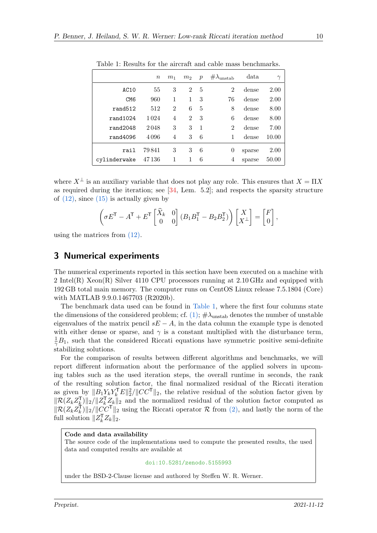|                     | $\boldsymbol{n}$ | m <sub>1</sub> | m <sub>2</sub> | $\boldsymbol{p}$ | $\#\lambda_{\text{unstab}}$ | data   | $\gamma$ |
|---------------------|------------------|----------------|----------------|------------------|-----------------------------|--------|----------|
| AC10                | 55               | 3              | $\overline{2}$ | 5                | $\overline{2}$              | dense  | 2.00     |
| CM <sub>6</sub>     | 960              | 1              | 1              | 3                | 76                          | dense  | 2.00     |
| rand <sub>512</sub> | 512              | $\overline{2}$ | 6              | 5                | 8                           | dense  | 8.00     |
| rand1024            | 1024             | $\overline{4}$ | $\mathfrak{D}$ | 3                | 6                           | dense  | 8.00     |
| rand2048            | 2048             | 3              | 3              | $\mathbf{1}$     | $\overline{2}$              | dense  | 7.00     |
| rand4096            | 4096             | $\overline{4}$ | 3              | 6                |                             | dense  | 10.00    |
| rail                | 79841            | 3              | 3              | 6                | 0                           | sparse | 2.00     |
| cylinderwake        | 47136            | 1              |                | 6                | 4                           | sparse | 50.00    |

<span id="page-9-1"></span>Table 1: Results for the aircraft and cable mass benchmarks.

where  $X^{\perp}$  is an auxiliary variable that does not play any role. This ensures that  $X = \Pi X$ as required during the iteration; see  $[34, \text{ Lem. } 5.2]$  $[34, \text{ Lem. } 5.2]$ ; and respects the sparsity structure of  $(12)$ , since  $(15)$  is actually given by

$$
\left(\sigma E^{T} - A^{T} + E^{T} \begin{bmatrix} \widehat{X}_{k} & 0 \\ 0 & 0 \end{bmatrix} (B_{1}B_{1}^{T} - B_{2}B_{2}^{T}) \right) \begin{bmatrix} X \\ X^{\perp} \end{bmatrix} = \begin{bmatrix} F \\ 0 \end{bmatrix},
$$

using the matrices from [\(12\).](#page-8-0)

## <span id="page-9-0"></span>3 Numerical experiments

The numerical experiments reported in this section have been executed on a machine with 2 Intel(R) Xeon(R) Silver 4110 CPU processors running at 2.10 GHz and equipped with 192 GB total main memory. The computer runs on CentOS Linux release 7.5.1804 (Core) with MATLAB 9.9.0.1467703 (R2020b).

The benchmark data used can be found in [Table 1,](#page-9-1) where the first four columns state the dimensions of the considered problem; cf. [\(1\);](#page-1-0)  $\#\lambda_{\text{unstab}}$  denotes the number of unstable eigenvalues of the matrix pencil  $sE - A$ , in the data column the example type is denoted with either dense or sparse, and  $\gamma$  is a constant multiplied with the disturbance term.  $\frac{1}{\gamma}B_1$ , such that the considered Riccati equations have symmetric positive semi-definite stabilizing solutions.

For the comparison of results between different algorithms and benchmarks, we will report different information about the performance of the applied solvers in upcoming tables such as the used iteration steps, the overall runtime in seconds, the rank of the resulting solution factor, the final normalized residual of the Riccati iteration as given by  $||B_1Y_kY_k^{\mathsf{T}}E||_2^2/||CC^{\mathsf{T}}||_2$ , the relative residual of the solution factor given by  $\|\mathcal{R}(Z_kZ_k^{\mathsf{T}})\|_2/\|Z_k^{\mathsf{T}}Z_k\|_2$  and the normalized residual of the solution factor computed as  $\|\mathcal{R}(Z_kZ_k^{\dagger})\|_2/\|\tilde{CC}^{\dagger}\|_2$  using the Riccati operator  $\mathcal R$  from [\(2\),](#page-2-2) and lastly the norm of the full solution  $||Z_k^{\mathsf{T}}Z_k||_2$ .

## Code and data availability

The source code of the implementations used to compute the presented results, the used data and computed results are available at

#### [doi:10.5281/zenodo.5155993](https://doi.org/10.5281/zenodo.5155993)

under the BSD-2-Clause license and authored by Steffen W. R. Werner.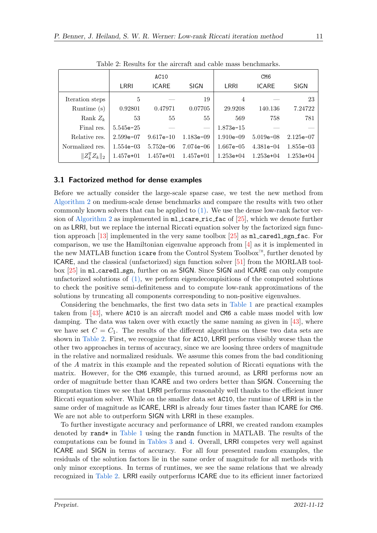|                             |               | AC10          |               |               | CM <sub>6</sub> |             |
|-----------------------------|---------------|---------------|---------------|---------------|-----------------|-------------|
|                             | LRRI          | <b>ICARE</b>  | <b>SIGN</b>   | LRRI          | <b>ICARE</b>    | <b>SIGN</b> |
| Iteration steps             | 5             |               | 19            | 4             |                 | 23          |
| Runtime (s)                 | 0.92801       | 0.47971       | 0.07705       | 29.9208       | 140.136         | 7.24722     |
| Rank $Z_k$                  | 53            | 55            | 55            | 569           | 758             | 781         |
| Final res.                  | $5.545e - 25$ |               |               | $1.873e-15$   |                 |             |
| Relative res.               | $2.599e-07$   | $9.617e-10$   | $1.183e - 09$ | $1.910e - 09$ | $5.019e - 08$   | $2.125e-07$ |
| Normalized res.             | $1.554e-03$   | $5.752e - 06$ | $7.074e - 06$ | $1.667e - 05$ | $4.381e-04$     | $1.855e-03$ |
| $\ Z_k^{\mathsf{T}}Z_k\ _2$ | $1.457e+01$   | $1.457e+01$   | $1.457e+01$   | $1.253e+04$   | $1.253e+04$     | $1.253e+04$ |

<span id="page-10-0"></span>Table 2: Results for the aircraft and cable mass benchmarks.

## 3.1 Factorized method for dense examples

Before we actually consider the large-scale sparse case, we test the new method from [Algorithm 2](#page-5-0) on medium-scale dense benchmarks and compare the results with two other commonly known solvers that can be applied to [\(1\).](#page-1-0) We use the dense low-rank factor ver-sion of [Algorithm 2](#page-5-0) as implemented in  $m$ **l** icare ric fac of [\[25\]](#page-15-4), which we denote further on as LRRI, but we replace the internal Riccati equation solver by the factorized sign func-tion approach [\[13\]](#page-14-6) implemented in the very same toolbox [\[25\]](#page-15-4) as  $m$ -caredl sgn fac. For comparison, we use the Hamiltonian eigenvalue approach from  $[4]$  as it is implemented in the new MATLAB function icare from the Control System Toolbox™, further denoted by ICARE, and the classical (unfactorized) sign function solver [\[51\]](#page-17-5) from the MORLAB toolbox [\[25\]](#page-15-4) in ml caredl sgn, further on as SIGN. Since SIGN and ICARE can only compute unfactorized solutions of [\(1\),](#page-1-0) we perform eigendecompisitions of the computed solutions to check the positive semi-definiteness and to compute low-rank approximations of the solutions by truncating all components corresponding to non-positive eigenvalues.

Considering the benchmarks, the first two data sets in [Table 1](#page-9-1) are practical examples taken from [\[43\]](#page-17-12), where AC10 is an aircraft model and CM6 a cable mass model with low damping. The data was taken over with exactly the same naming as given in [\[43\]](#page-17-12), where we have set  $C = C_1$ . The results of the different algorithms on these two data sets are shown in [Table 2.](#page-10-0) First, we recognize that for AC10, LRRI performs visibly worse than the other two approaches in terms of accuracy, since we are loosing three orders of magnitude in the relative and normalized residuals. We assume this comes from the bad conditioning of the A matrix in this example and the repeated solution of Riccati equations with the matrix. However, for the CM6 example, this turned around, as LRRI performs now an order of magnitude better than ICARE and two orders better than SIGN. Concerning the computation times we see that LRRI performs reasonably well thanks to the efficient inner Riccati equation solver. While on the smaller data set AC10, the runtime of LRRI is in the same order of magnitude as ICARE, LRRI is already four times faster than ICARE for CM6. We are not able to outperform SIGN with LRRI in these examples.

To further investigate accuracy and performance of LRRI, we created random examples denoted by rand\* in [Table 1](#page-9-1) using the randn function in MATLAB. The results of the computations can be found in [Tables 3](#page-11-0) and [4.](#page-11-1) Overall, LRRI competes very well against ICARE and SIGN in terms of accuracy. For all four presented random examples, the residuals of the solution factors lie in the same order of magnitude for all methods with only minor exceptions. In terms of runtimes, we see the same relations that we already recognized in [Table 2.](#page-10-0) LRRI easily outperforms ICARE due to its efficient inner factorized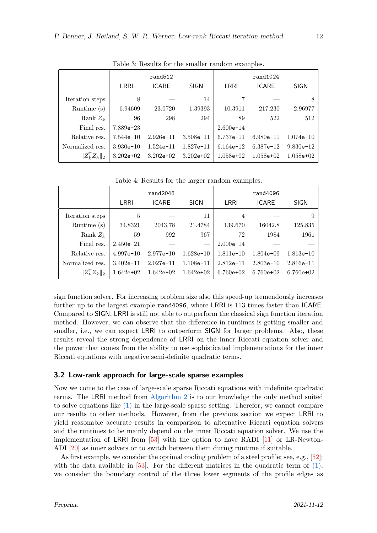|                             |               | rand <sub>512</sub> |             |             | rand1024     |               |
|-----------------------------|---------------|---------------------|-------------|-------------|--------------|---------------|
|                             | LRRI          | <b>ICARE</b>        | <b>SIGN</b> | LRRI        | <b>ICARE</b> | <b>SIGN</b>   |
| Iteration steps             | 8             |                     | 14          |             |              | 8             |
| Runtime (s)                 | 6.94609       | 23.0720             | 1.39393     | 10.3911     | 217.230      | 2.96977       |
| Rank $Z_k$                  | 96            | 298                 | 294         | 89          | 522          | 512           |
| Final res.                  | $7.889e - 23$ |                     |             | $2.600e-14$ |              |               |
| Relative res.               | $7.544e-10$   | $2.926e-11$         | $3.508e-11$ | $6.737e-11$ | $6.980e-11$  | $1.074e - 10$ |
| Normalized res.             | $3.930e-10$   | $1.524e-11$         | $1.827e-11$ | $6.164e-12$ | $6.387e-12$  | $9.830e-12$   |
| $  Z_k^{\mathsf{T}}Z_k  _2$ | $3.202e+02$   | $3.202e+02$         | $3.202e+02$ | $1.058e+02$ | $1.058e+02$  | $1.058e+02$   |

<span id="page-11-0"></span>Table 3: Results for the smaller random examples.

|                             | rand2048      |               |                          | rand4096      |                |               |
|-----------------------------|---------------|---------------|--------------------------|---------------|----------------|---------------|
|                             | LRRI          | <b>ICARE</b>  | <b>SIGN</b>              | LRRI          | <b>ICARE</b>   | <b>SIGN</b>   |
| Iteration steps             | 5             |               | 11                       | 4             |                | 9             |
| Runtime (s)                 | 34.8321       | 2043.78       | 21.4784                  | 139.670       | 16042.8        | 125.835       |
| Rank $Z_k$                  | 59            | 992           | 967                      | 72            | 1984           | 1961          |
| Final res.                  | $2.450e - 21$ |               | $\overline{\phantom{a}}$ | $2.000e - 14$ |                |               |
| Relative res.               | $4.997e-10$   | $2.977e-10$   | $1.628e-10$              | $1.811e-10$   | $1.804e - 0.9$ | $1.813e-10$   |
| Normalized res.             | $3.402e-11$   | $2.027e - 11$ | $1.108e-11$              | $2.812e-11$   | $2.803e-10$    | $2.816e - 11$ |
| $\ Z_k^{\mathsf{T}}Z_k\ _2$ | $1.642e+02$   | $1.642e+02$   | $1.642e+02$              | $6.760e+02$   | $6.760e+02$    | $6.760e+02$   |

<span id="page-11-1"></span>Table 4: Results for the larger random examples.

sign function solver. For increasing problem size also this speed-up tremendously increases further up to the largest example rand4096, where LRRI is 113 times faster than ICARE. Compared to SIGN, LRRI is still not able to outperform the classical sign function iteration method. However, we can observe that the difference in runtimes is getting smaller and smaller, i.e., we can expect LRRI to outperform SIGN for larger problems. Also, these results reveal the strong dependence of LRRI on the inner Riccati equation solver and the power that comes from the ability to use sophisticated implementations for the inner Riccati equations with negative semi-definite quadratic terms.

# 3.2 Low-rank approach for large-scale sparse examples

Now we come to the case of large-scale sparse Riccati equations with indefinite quadratic terms. The LRRI method from [Algorithm 2](#page-5-0) is to our knowledge the only method suited to solve equations like [\(1\)](#page-1-0) in the large-scale sparse setting. Therefor, we cannot compare our results to other methods. However, from the previous section we expect LRRI to yield reasonable accurate results in comparison to alternative Riccati equation solvers and the runtimes to be mainly depend on the inner Riccati equation solver. We use the implementation of LRRI from [\[53\]](#page-17-10) with the option to have RADI [\[11\]](#page-14-8) or LR-Newton-ADI [\[20\]](#page-15-1) as inner solvers or to switch between them during runtime if suitable.

As first example, we consider the optimal cooling problem of a steel profile; see, e.g., [\[52\]](#page-17-13); with the data available in [\[53\]](#page-17-10). For the different matrices in the quadratic term of  $(1)$ , we consider the boundary control of the three lower segments of the profile edges as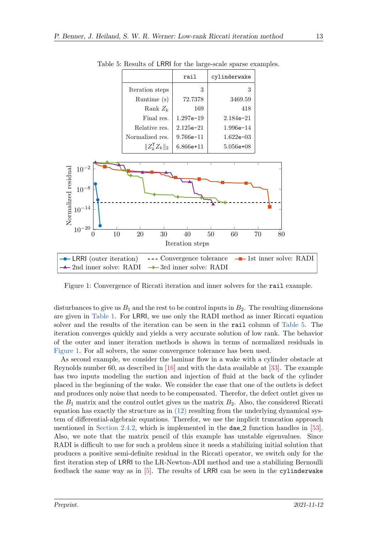|                             | rail          | cylinderwake   |
|-----------------------------|---------------|----------------|
| Iteration steps             | 3             | 3              |
| Runtime (s)                 | 72.7378       | 3469.59        |
| Rank $Z_k$                  | 169           | 418            |
| Final res.                  | $1.297e-19$   | $2.184e - 21$  |
| Relative res.               | $2.125e - 21$ | $1.996e-14$    |
| Normalized res.             | $9.766e - 11$ | $1.622e - 0.3$ |
| $  Z_k^{\mathsf{T}}Z_k  _2$ | $6.866e+11$   | $5.056e+08$    |

<span id="page-12-0"></span>Table 5: Results of LRRI for the large-scale sparse examples.



<span id="page-12-1"></span>Figure 1: Convergence of Riccati iteration and inner solvers for the rail example.

disturbances to give us  $B_1$  and the rest to be control inputs in  $B_2$ . The resulting dimensions are given in [Table 1.](#page-9-1) For LRRI, we use only the RADI method as inner Riccati equation solver and the results of the iteration can be seen in the rail column of [Table 5.](#page-12-0) The iteration converges quickly and yields a very accurate solution of low rank. The behavior of the outer and inner iteration methods is shown in terms of normalized residuals in [Figure 1.](#page-12-1) For all solvers, the same convergence tolerance has been used.

As second example, we consider the laminar flow in a wake with a cylinder obstacle at Reynolds number 60, as described in [\[16\]](#page-15-9) and with the data available at [\[33\]](#page-16-13). The example has two inputs modeling the suction and injection of fluid at the back of the cylinder placed in the beginning of the wake. We consider the case that one of the outlets is defect and produces only noise that needs to be compensated. Therefor, the defect outlet gives us the  $B_1$  matrix and the control outlet gives us the matrix  $B_2$ . Also, the considered Riccati equation has exactly the structure as in  $(12)$  resulting from the underlying dynamical system of differential-algebraic equations. Therefor, we use the implicit truncation approach mentioned in [Section 2.4.2,](#page-8-4) which is implemented in the dae 2 function handles in [\[53\]](#page-17-10). Also, we note that the matrix pencil of this example has unstable eigenvalues. Since RADI is difficult to use for such a problem since it needs a stabilizing initial solution that produces a positive semi-definite residual in the Riccati operator, we switch only for the first iteration step of LRRI to the LR-Newton-ADI method and use a stabilizing Bernoulli feedback the same way as in  $[5]$ . The results of LRRI can be seen in the cylinderwake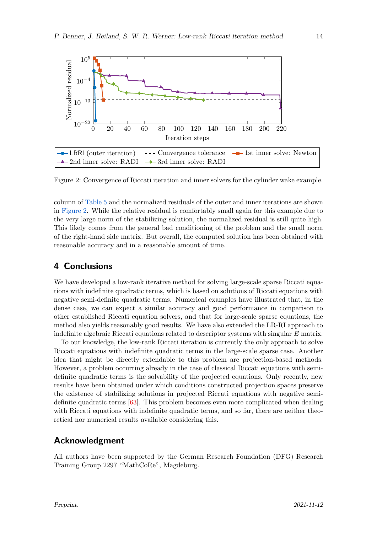

<span id="page-13-1"></span>Figure 2: Convergence of Riccati iteration and inner solvers for the cylinder wake example.

column of [Table 5](#page-12-0) and the normalized residuals of the outer and inner iterations are shown in [Figure 2.](#page-13-1) While the relative residual is comfortably small again for this example due to the very large norm of the stabilizing solution, the normalized residual is still quite high. This likely comes from the general bad conditioning of the problem and the small norm of the right-hand side matrix. But overall, the computed solution has been obtained with reasonable accuracy and in a reasonable amount of time.

# <span id="page-13-0"></span>4 Conclusions

We have developed a low-rank iterative method for solving large-scale sparse Riccati equations with indefinite quadratic terms, which is based on solutions of Riccati equations with negative semi-definite quadratic terms. Numerical examples have illustrated that, in the dense case, we can expect a similar accuracy and good performance in comparison to other established Riccati equation solvers, and that for large-scale sparse equations, the method also yields reasonably good results. We have also extended the LR-RI approach to indefinite algebraic Riccati equations related to descriptor systems with singular E matrix.

To our knowledge, the low-rank Riccati iteration is currently the only approach to solve Riccati equations with indefinite quadratic terms in the large-scale sparse case. Another idea that might be directly extendable to this problem are projection-based methods. However, a problem occurring already in the case of classical Riccati equations with semidefinite quadratic terms is the solvability of the projected equations. Only recently, new results have been obtained under which conditions constructed projection spaces preserve the existence of stabilizing solutions in projected Riccati equations with negative semidefinite quadratic terms [\[63\]](#page-18-9). This problem becomes even more complicated when dealing with Riccati equations with indefinite quadratic terms, and so far, there are neither theoretical nor numerical results available considering this.

# Acknowledgment

All authors have been supported by the German Research Foundation (DFG) Research Training Group 2297 "MathCoRe", Magdeburg.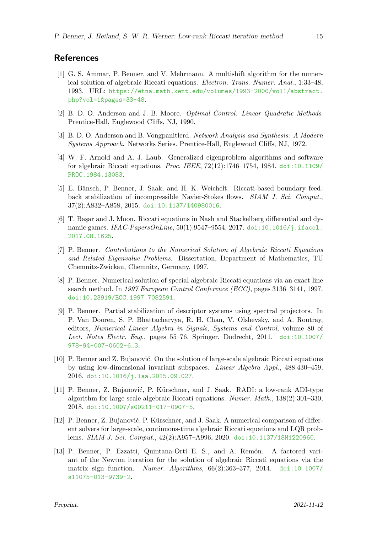## **References**

- <span id="page-14-3"></span>[1] G. S. Ammar, P. Benner, and V. Mehrmann. A multishift algorithm for the numerical solution of algebraic Riccati equations. Electron. Trans. Numer. Anal., 1:33–48, 1993. URL: [https://etna.math.kent.edu/volumes/1993-2000/vol1/abstract.](https://etna.math.kent.edu/volumes/1993-2000/vol1/abstract.php?vol=1&pages=33-48) [php?vol=1&pages=33-48](https://etna.math.kent.edu/volumes/1993-2000/vol1/abstract.php?vol=1&pages=33-48).
- <span id="page-14-0"></span>[2] B. D. O. Anderson and J. B. Moore. Optimal Control: Linear Quadratic Methods. Prentice-Hall, Englewood Cliffs, NJ, 1990.
- <span id="page-14-1"></span>[3] B. D. O. Anderson and B. Vongpanitlerd. Network Analysis and Synthesis: A Modern Systems Approach. Networks Series. Prentice-Hall, Englewood Cliffs, NJ, 1972.
- <span id="page-14-4"></span>[4] W. F. Arnold and A. J. Laub. Generalized eigenproblem algorithms and software for algebraic Riccati equations. Proc. IEEE, 72(12):1746–1754, 1984. [doi:10.1109/](https://doi.org/10.1109/PROC.1984.13083) [PROC.1984.13083](https://doi.org/10.1109/PROC.1984.13083).
- <span id="page-14-12"></span>[5] E. Bänsch, P. Benner, J. Saak, and H. K. Weichelt. Riccati-based boundary feedback stabilization of incompressible Navier-Stokes flows. SIAM J. Sci. Comput., 37(2):A832–A858, 2015. [doi:10.1137/140980016](https://doi.org/10.1137/140980016).
- <span id="page-14-2"></span>[6] T. Başar and J. Moon. Riccati equations in Nash and Stackelberg differential and dynamic games. IFAC-PapersOnLine, 50(1):9547-9554, 2017. [doi:10.1016/j.ifacol.](https://doi.org/10.1016/j.ifacol.2017.08.1625) [2017.08.1625](https://doi.org/10.1016/j.ifacol.2017.08.1625).
- <span id="page-14-5"></span>[7] P. Benner. Contributions to the Numerical Solution of Algebraic Riccati Equations and Related Eigenvalue Problems. Dissertation, Department of Mathematics, TU Chemnitz-Zwickau, Chemnitz, Germany, 1997.
- <span id="page-14-7"></span>[8] P. Benner. Numerical solution of special algebraic Riccati equations via an exact line search method. In 1997 European Control Conference (ECC), pages 3136–3141, 1997. [doi:10.23919/ECC.1997.7082591](https://doi.org/10.23919/ECC.1997.7082591).
- <span id="page-14-11"></span>[9] P. Benner. Partial stabilization of descriptor systems using spectral projectors. In P. Van Dooren, S. P. Bhattacharyya, R. H. Chan, V. Olshevsky, and A. Routray, editors, Numerical Linear Algebra in Signals, Systems and Control, volume 80 of Lect. Notes Electr. Eng., pages 55–76. Springer, Dodrecht, 2011. [doi:10.1007/](https://doi.org/10.1007/978-94-007-0602-6_3) [978-94-007-0602-6\\_3](https://doi.org/10.1007/978-94-007-0602-6_3).
- <span id="page-14-10"></span>[10] P. Benner and Z. Bujanović. On the solution of large-scale algebraic Riccati equations by using low-dimensional invariant subspaces. Linear Algebra Appl., 488:430–459, 2016. [doi:10.1016/j.laa.2015.09.027](https://doi.org/10.1016/j.laa.2015.09.027).
- <span id="page-14-8"></span>[11] P. Benner, Z. Bujanović, P. Kürschner, and J. Saak. RADI: a low-rank ADI-type algorithm for large scale algebraic Riccati equations. Numer. Math., 138(2):301–330, 2018. [doi:10.1007/s00211-017-0907-5](https://doi.org/10.1007/s00211-017-0907-5).
- <span id="page-14-9"></span>[12] P. Benner, Z. Bujanović, P. Kürschner, and J. Saak. A numerical comparison of different solvers for large-scale, continuous-time algebraic Riccati equations and LQR problems. SIAM J. Sci. Comput., 42(2):A957–A996, 2020. [doi:10.1137/18M1220960](https://doi.org/10.1137/18M1220960).
- <span id="page-14-6"></span>[13] P. Benner, P. Ezzatti, Quintana-Ortí E. S., and A. Remón. A factored variant of the Newton iteration for the solution of algebraic Riccati equations via the matrix sign function. Numer. Algorithms,  $66(2)$ :363-377, 2014. [doi:10.1007/](https://doi.org/10.1007/s11075-013-9739-2) [s11075-013-9739-2](https://doi.org/10.1007/s11075-013-9739-2).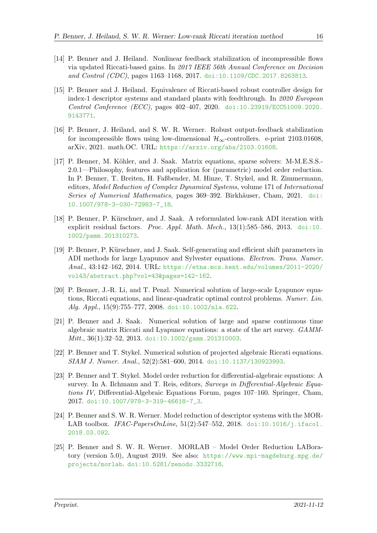- <span id="page-15-10"></span>[14] P. Benner and J. Heiland. Nonlinear feedback stabilization of incompressible flows via updated Riccati-based gains. In 2017 IEEE 56th Annual Conference on Decision and Control (CDC), pages 1163–1168, 2017. [doi:10.1109/CDC.2017.8263813](https://doi.org/10.1109/CDC.2017.8263813).
- <span id="page-15-6"></span>[15] P. Benner and J. Heiland. Equivalence of Riccati-based robust controller design for index-1 descriptor systems and standard plants with feedthrough. In 2020 European Control Conference (ECC), pages 402–407, 2020. [doi:10.23919/ECC51009.2020.](https://doi.org/10.23919/ECC51009.2020.9143771) [9143771](https://doi.org/10.23919/ECC51009.2020.9143771).
- <span id="page-15-9"></span>[16] P. Benner, J. Heiland, and S. W. R. Werner. Robust output-feedback stabilization for incompressible flows using low-dimensional  $\mathcal{H}_{\infty}$ -controllers. e-print 2103.01608, arXiv, 2021. math.OC. URL: <https://arxiv.org/abs/2103.01608>.
- <span id="page-15-5"></span>[17] P. Benner, M. Köhler, and J. Saak. Matrix equations, sparse solvers: M-M.E.S.S. 2.0.1—Philosophy, features and application for (parametric) model order reduction. In P. Benner, T. Breiten, H. Faßbender, M. Hinze, T. Stykel, and R. Zimmermann, editors, Model Reduction of Complex Dynamical Systems, volume 171 of International Series of Numerical Mathematics, pages 369–392. Birkhäuser, Cham, 2021. [doi:](https://doi.org/10.1007/978-3-030-72983-7_18) [10.1007/978-3-030-72983-7\\_18](https://doi.org/10.1007/978-3-030-72983-7_18).
- <span id="page-15-2"></span>[18] P. Benner, P. Kürschner, and J. Saak. A reformulated low-rank ADI iteration with explicit residual factors. Proc. Appl. Math. Mech.,  $13(1)$ :585–586, 2013. [doi:10.](https://doi.org/10.1002/pamm.201310273) [1002/pamm.201310273](https://doi.org/10.1002/pamm.201310273).
- [19] P. Benner, P. Kürschner, and J. Saak. Self-generating and efficient shift parameters in ADI methods for large Lyapunov and Sylvester equations. Electron. Trans. Numer. Anal., 43:142–162, 2014. URL: [https://etna.mcs.kent.edu/volumes/2011-2020/](https://etna.mcs.kent.edu/volumes/2011-2020/vol43/abstract.php?vol=43&pages=142-162) [vol43/abstract.php?vol=43&pages=142-162](https://etna.mcs.kent.edu/volumes/2011-2020/vol43/abstract.php?vol=43&pages=142-162).
- <span id="page-15-1"></span>[20] P. Benner, J.-R. Li, and T. Penzl. Numerical solution of large-scale Lyapunov equations, Riccati equations, and linear-quadratic optimal control problems. Numer. Lin. Alg. Appl., 15(9):755–777, 2008. [doi:10.1002/nla.622](https://doi.org/10.1002/nla.622).
- <span id="page-15-3"></span>[21] P. Benner and J. Saak. Numerical solution of large and sparse continuous time algebraic matrix Riccati and Lyapunov equations: a state of the art survey. GAMMMitt., 36(1):32-52, 2013. [doi:10.1002/gamm.201310003](https://doi.org/10.1002/gamm.201310003).
- <span id="page-15-0"></span>[22] P. Benner and T. Stykel. Numerical solution of projected algebraic Riccati equations. SIAM J. Numer. Anal., 52(2):581–600, 2014. [doi:10.1137/130923993](https://doi.org/10.1137/130923993).
- <span id="page-15-7"></span>[23] P. Benner and T. Stykel. Model order reduction for differential-algebraic equations: A survey. In A. Ilchmann and T. Reis, editors, Surveys in Differential-Algebraic Equations IV, Differential-Algebraic Equations Forum, pages 107–160. Springer, Cham, 2017. [doi:10.1007/978-3-319-46618-7\\_3](https://doi.org/10.1007/978-3-319-46618-7_3).
- <span id="page-15-8"></span>[24] P. Benner and S. W. R. Werner. Model reduction of descriptor systems with the MOR-LAB toolbox. IFAC-PapersOnLine,  $51(2):547-552$ ,  $2018$ . [doi:10.1016/j.ifacol.](https://doi.org/10.1016/j.ifacol.2018.03.092) [2018.03.092](https://doi.org/10.1016/j.ifacol.2018.03.092).
- <span id="page-15-4"></span>[25] P. Benner and S. W. R. Werner. MORLAB – Model Order Reduction LABoratory (version 5.0), August 2019. See also: [https://www.mpi-magdeburg.mpg.de/](https://www.mpi-magdeburg.mpg.de/projects/morlab) [projects/morlab](https://www.mpi-magdeburg.mpg.de/projects/morlab). [doi:10.5281/zenodo.3332716](https://doi.org/10.5281/zenodo.3332716).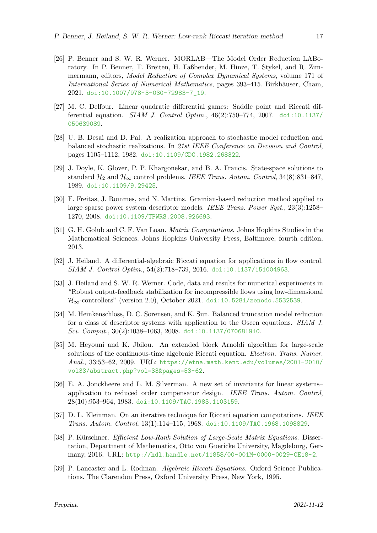- <span id="page-16-8"></span>[26] P. Benner and S. W. R. Werner. MORLAB—The Model Order Reduction LABoratory. In P. Benner, T. Breiten, H. Faßbender, M. Hinze, T. Stykel, and R. Zimmermann, editors, *Model Reduction of Complex Dynamical Systems*, volume 171 of International Series of Numerical Mathematics, pages 393–415. Birkhäuser, Cham, 2021. [doi:10.1007/978-3-030-72983-7\\_19](https://doi.org/10.1007/978-3-030-72983-7_19).
- <span id="page-16-3"></span>[27] M. C. Delfour. Linear quadratic differential games: Saddle point and Riccati differential equation. *SIAM J. Control Optim.*,  $46(2)$ :750–774, 2007. [doi:10.1137/](https://doi.org/10.1137/050639089) [050639089](https://doi.org/10.1137/050639089).
- <span id="page-16-2"></span>[28] U. B. Desai and D. Pal. A realization approach to stochastic model reduction and balanced stochastic realizations. In 21st IEEE Conference on Decision and Control, pages 1105–1112, 1982. [doi:10.1109/CDC.1982.268322](https://doi.org/10.1109/CDC.1982.268322).
- <span id="page-16-4"></span>[29] J. Doyle, K. Glover, P. P. Khargonekar, and B. A. Francis. State-space solutions to standard  $\mathcal{H}_2$  and  $\mathcal{H}_{\infty}$  control problems. IEEE Trans. Autom. Control, 34(8):831–847, 1989. [doi:10.1109/9.29425](https://doi.org/10.1109/9.29425).
- <span id="page-16-11"></span>[30] F. Freitas, J. Rommes, and N. Martins. Gramian-based reduction method applied to large sparse power system descriptor models. IEEE Trans. Power Syst., 23(3):1258– 1270, 2008. [doi:10.1109/TPWRS.2008.926693](https://doi.org/10.1109/TPWRS.2008.926693).
- <span id="page-16-9"></span>[31] G. H. Golub and C. F. Van Loan. Matrix Computations. Johns Hopkins Studies in the Mathematical Sciences. Johns Hopkins University Press, Baltimore, fourth edition, 2013.
- <span id="page-16-10"></span>[32] J. Heiland. A differential-algebraic Riccati equation for applications in flow control. SIAM J. Control Optim., 54(2):718–739, 2016. [doi:10.1137/151004963](https://doi.org/10.1137/151004963).
- <span id="page-16-13"></span>[33] J. Heiland and S. W. R. Werner. Code, data and results for numerical experiments in "Robust output-feedback stabilization for incompressible flows using low-dimensional  $\mathcal{H}_{\infty}$ -controllers" (version 2.0), October 2021. [doi:10.5281/zenodo.5532539](https://doi.org/10.5281/zenodo.5532539).
- <span id="page-16-12"></span>[34] M. Heinkenschloss, D. C. Sorensen, and K. Sun. Balanced truncation model reduction for a class of descriptor systems with application to the Oseen equations. SIAM J. Sci. Comput., 30(2):1038–1063, 2008. [doi:10.1137/070681910](https://doi.org/10.1137/070681910).
- <span id="page-16-7"></span>[35] M. Heyouni and K. Jbilou. An extended block Arnoldi algorithm for large-scale solutions of the continuous-time algebraic Riccati equation. Electron. Trans. Numer. Anal., 33:53–62, 2009. URL: [https://etna.math.kent.edu/volumes/2001-2010/](https://etna.math.kent.edu/volumes/2001-2010/vol33/abstract.php?vol=33&pages=53-62) [vol33/abstract.php?vol=33&pages=53-62](https://etna.math.kent.edu/volumes/2001-2010/vol33/abstract.php?vol=33&pages=53-62).
- <span id="page-16-1"></span>[36] E. A. Jonckheere and L. M. Silverman. A new set of invariants for linear systems– application to reduced order compensator design. IEEE Trans. Autom. Control, 28(10):953–964, 1983. [doi:10.1109/TAC.1983.1103159](https://doi.org/10.1109/TAC.1983.1103159).
- <span id="page-16-5"></span>[37] D. L. Kleinman. On an iterative technique for Riccati equation computations. IEEE Trans. Autom. Control, 13(1):114–115, 1968. [doi:10.1109/TAC.1968.1098829](https://doi.org/10.1109/TAC.1968.1098829).
- <span id="page-16-6"></span>[38] P. Kürschner. Efficient Low-Rank Solution of Large-Scale Matrix Equations. Dissertation, Department of Mathematics, Otto von Guericke University, Magdeburg, Germany, 2016. URL: <http://hdl.handle.net/11858/00-001M-0000-0029-CE18-2>.
- <span id="page-16-0"></span>[39] P. Lancaster and L. Rodman. Algebraic Riccati Equations. Oxford Science Publications. The Clarendon Press, Oxford University Press, New York, 1995.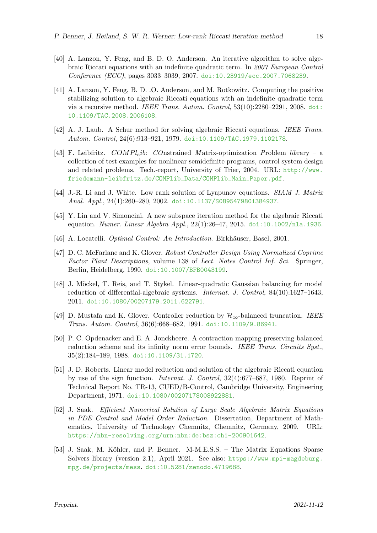- <span id="page-17-6"></span>[40] A. Lanzon, Y. Feng, and B. D. O. Anderson. An iterative algorithm to solve algebraic Riccati equations with an indefinite quadratic term. In 2007 European Control Conference (ECC), pages 3033–3039, 2007. [doi:10.23919/ecc.2007.7068239](https://doi.org/10.23919/ecc.2007.7068239).
- <span id="page-17-7"></span>[41] A. Lanzon, Y. Feng, B. D. .O. Anderson, and M. Rotkowitz. Computing the positive stabilizing solution to algebraic Riccati equations with an indefinite quadratic term via a recursive method. IEEE Trans. Autom. Control, 53(10):2280–2291, 2008. [doi:](https://doi.org/10.1109/TAC.2008.2006108) [10.1109/TAC.2008.2006108](https://doi.org/10.1109/TAC.2008.2006108).
- <span id="page-17-4"></span>[42] A. J. Laub. A Schur method for solving algebraic Riccati equations. IEEE Trans. Autom. Control, 24(6):913–921, 1979. [doi:10.1109/TAC.1979.1102178](https://doi.org/10.1109/TAC.1979.1102178).
- <span id="page-17-12"></span>[43] F. Leibfritz.  $COMPl_e ib$ : COnstrained Matrix-optimization Problem library – a collection of test examples for nonlinear semidefinite programs, control system design and related problems. Tech.-report, University of Trier, 2004. URL: [http://www.](http://www.friedemann-leibfritz.de/COMPlib_Data/COMPlib_Main_Paper.pdf) [friedemann-leibfritz.de/COMPlib\\_Data/COMPlib\\_Main\\_Paper.pdf](http://www.friedemann-leibfritz.de/COMPlib_Data/COMPlib_Main_Paper.pdf).
- <span id="page-17-8"></span>[44] J.-R. Li and J. White. Low rank solution of Lyapunov equations. SIAM J. Matrix Anal. Appl., 24(1):260–280, 2002. [doi:10.1137/S0895479801384937](https://doi.org/10.1137/S0895479801384937).
- <span id="page-17-9"></span>[45] Y. Lin and V. Simoncini. A new subspace iteration method for the algebraic Riccati equation. Numer. Linear Algebra Appl., 22(1):26–47, 2015. [doi:10.1002/nla.1936](https://doi.org/10.1002/nla.1936).
- <span id="page-17-0"></span>[46] A. Locatelli. *Optimal Control: An Introduction*. Birkhäuser, Basel, 2001.
- <span id="page-17-2"></span>[47] D. C. McFarlane and K. Glover. Robust Controller Design Using Normalized Coprime Factor Plant Descriptions, volume 138 of Lect. Notes Control Inf. Sci. Springer, Berlin, Heidelberg, 1990. [doi:10.1007/BFB0043199](https://doi.org/10.1007/BFB0043199).
- <span id="page-17-11"></span>[48] J. Möckel, T. Reis, and T. Stykel. Linear-quadratic Gaussian balancing for model reduction of differential-algebraic systems. Internat. J. Control, 84(10):1627–1643, 2011. [doi:10.1080/00207179.2011.622791](https://doi.org/10.1080/00207179.2011.622791).
- <span id="page-17-3"></span>[49] D. Mustafa and K. Glover. Controller reduction by  $\mathcal{H}_{\infty}$ -balanced truncation. IEEE Trans. Autom. Control, 36(6):668–682, 1991. [doi:10.1109/9.86941](https://doi.org/10.1109/9.86941).
- <span id="page-17-1"></span>[50] P. C. Opdenacker and E. A. Jonckheere. A contraction mapping preserving balanced reduction scheme and its infinity norm error bounds. IEEE Trans. Circuits Syst., 35(2):184–189, 1988. [doi:10.1109/31.1720](https://doi.org/10.1109/31.1720).
- <span id="page-17-5"></span>[51] J. D. Roberts. Linear model reduction and solution of the algebraic Riccati equation by use of the sign function. Internat. J. Control, 32(4):677–687, 1980. Reprint of Technical Report No. TR-13, CUED/B-Control, Cambridge University, Engineering Department, 1971. [doi:10.1080/00207178008922881](https://doi.org/10.1080/00207178008922881).
- <span id="page-17-13"></span>[52] J. Saak. Efficient Numerical Solution of Large Scale Algebraic Matrix Equations in PDE Control and Model Order Reduction. Dissertation, Department of Mathematics, University of Technology Chemnitz, Chemnitz, Germany, 2009. URL: <https://nbn-resolving.org/urn:nbn:de:bsz:ch1-200901642>.
- <span id="page-17-10"></span>[53] J. Saak, M. Köhler, and P. Benner. M-M.E.S.S. – The Matrix Equations Sparse Solvers library (version 2.1), April 2021. See also: [https://www.mpi-magdeburg.](https://www.mpi-magdeburg.mpg.de/projects/mess) [mpg.de/projects/mess](https://www.mpi-magdeburg.mpg.de/projects/mess). [doi:10.5281/zenodo.4719688](https://doi.org/10.5281/zenodo.4719688).